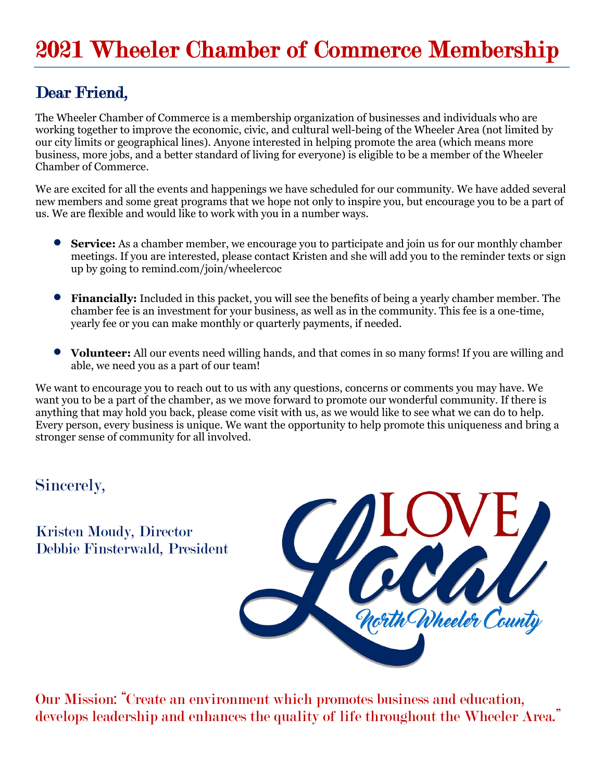# Dear Friend,

The Wheeler Chamber of Commerce is a membership organization of businesses and individuals who are working together to improve the economic, civic, and cultural well-being of the Wheeler Area (not limited by our city limits or geographical lines). Anyone interested in helping promote the area (which means more business, more jobs, and a better standard of living for everyone) is eligible to be a member of the Wheeler Chamber of Commerce.

We are excited for all the events and happenings we have scheduled for our community. We have added several new members and some great programs that we hope not only to inspire you, but encourage you to be a part of us. We are flexible and would like to work with you in a number ways.

- **Service:** As a chamber member, we encourage you to participate and join us for our monthly chamber meetings. If you are interested, please contact Kristen and she will add you to the reminder texts or sign up by going to remind.com/join/wheelercoc
- **Financially:** Included in this packet, you will see the benefits of being a yearly chamber member. The chamber fee is an investment for your business, as well as in the community. This fee is a one-time, yearly fee or you can make monthly or quarterly payments, if needed.
- **Volunteer:** All our events need willing hands, and that comes in so many forms! If you are willing and able, we need you as a part of our team!

We want to encourage you to reach out to us with any questions, concerns or comments you may have. We want you to be a part of the chamber, as we move forward to promote our wonderful community. If there is anything that may hold you back, please come visit with us, as we would like to see what we can do to help. Every person, every business is unique. We want the opportunity to help promote this uniqueness and bring a stronger sense of community for all involved.

#### Sincerely,

Kristen Moudy, Director Debbie Finsterwald, President



Our Mission: "Create an environment which promotes business and education, develops leadership and enhances the quality of life throughout the Wheeler Area."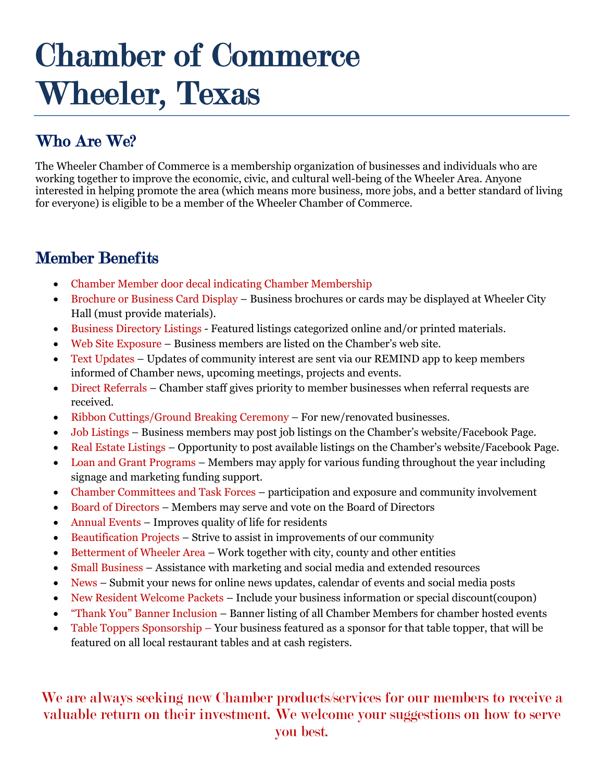# Chamber of Commerce Wheeler, Texas

# Who Are We?

The Wheeler Chamber of Commerce is a membership organization of businesses and individuals who are working together to improve the economic, civic, and cultural well-being of the Wheeler Area. Anyone interested in helping promote the area (which means more business, more jobs, and a better standard of living for everyone) is eligible to be a member of the Wheeler Chamber of Commerce.

#### Member Benefits

- Chamber Member door decal indicating Chamber Membership
- Brochure or Business Card Display Business brochures or cards may be displayed at Wheeler City Hall (must provide materials).
- Business Directory Listings Featured listings categorized online and/or printed materials.
- Web Site Exposure Business members are listed on the Chamber's web site.
- Text Updates Updates of community interest are sent via our REMIND app to keep members informed of Chamber news, upcoming meetings, projects and events.
- Direct Referrals Chamber staff gives priority to member businesses when referral requests are received.
- Ribbon Cuttings/Ground Breaking Ceremony For new/renovated businesses.
- Job Listings Business members may post job listings on the Chamber's website/Facebook Page.
- Real Estate Listings Opportunity to post available listings on the Chamber's website/Facebook Page.
- Loan and Grant Programs Members may apply for various funding throughout the year including signage and marketing funding support.
- Chamber Committees and Task Forces participation and exposure and community involvement
- Board of Directors Members may serve and vote on the Board of Directors
- Annual Events Improves quality of life for residents
- Beautification Projects Strive to assist in improvements of our community
- Betterment of Wheeler Area Work together with city, county and other entities
- Small Business Assistance with marketing and social media and extended resources
- News Submit your news for online news updates, calendar of events and social media posts
- New Resident Welcome Packets Include your business information or special discount(coupon)
- "Thank You" Banner Inclusion Banner listing of all Chamber Members for chamber hosted events
- Table Toppers Sponsorship Your business featured as a sponsor for that table topper, that will be featured on all local restaurant tables and at cash registers.

#### We are always seeking new Chamber products/services for our members to receive a valuable return on their investment. We welcome your suggestions on how to serve you best.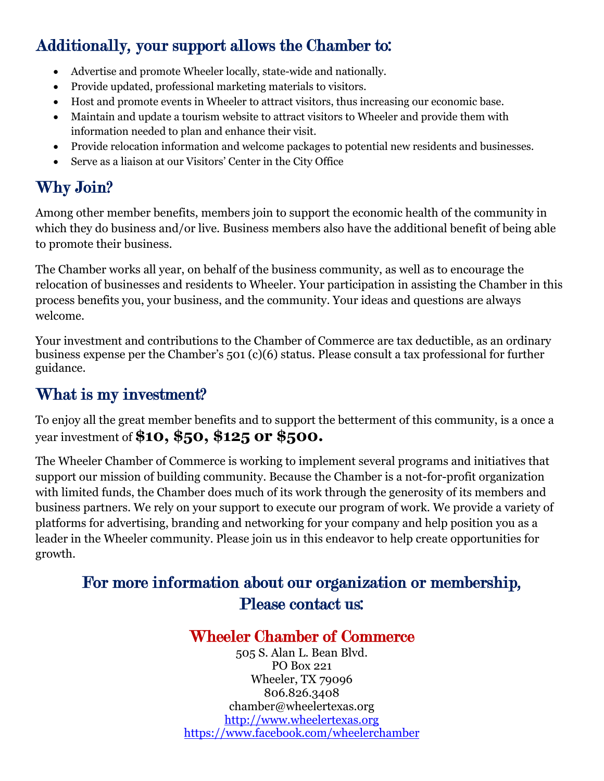### Additionally, your support allows the Chamber to:

- Advertise and promote Wheeler locally, state-wide and nationally.
- Provide updated, professional marketing materials to visitors.
- Host and promote events in Wheeler to attract visitors, thus increasing our economic base.
- Maintain and update a tourism website to attract visitors to Wheeler and provide them with information needed to plan and enhance their visit.
- Provide relocation information and welcome packages to potential new residents and businesses.
- Serve as a liaison at our Visitors' Center in the City Office

# Why Join?

Among other member benefits, members join to support the economic health of the community in which they do business and/or live. Business members also have the additional benefit of being able to promote their business.

The Chamber works all year, on behalf of the business community, as well as to encourage the relocation of businesses and residents to Wheeler. Your participation in assisting the Chamber in this process benefits you, your business, and the community. Your ideas and questions are always welcome.

Your investment and contributions to the Chamber of Commerce are tax deductible, as an ordinary business expense per the Chamber's 501 (c)(6) status. Please consult a tax professional for further guidance.

### What is my investment?

To enjoy all the great member benefits and to support the betterment of this community, is a once a year investment of **\$10, \$50, \$125 or \$500.** 

The Wheeler Chamber of Commerce is working to implement several programs and initiatives that support our mission of building community. Because the Chamber is a not-for-profit organization with limited funds, the Chamber does much of its work through the generosity of its members and business partners. We rely on your support to execute our program of work. We provide a variety of platforms for advertising, branding and networking for your company and help position you as a leader in the Wheeler community. Please join us in this endeavor to help create opportunities for growth.

### For more information about our organization or membership, Please contact us:

#### Wheeler Chamber of Commerce

505 S. Alan L. Bean Blvd. PO Box 221 Wheeler, TX 79096 806.826.3408 chamber@wheelertexas.org http://www.wheelertexas.org https://www.facebook.com/wheelerchamber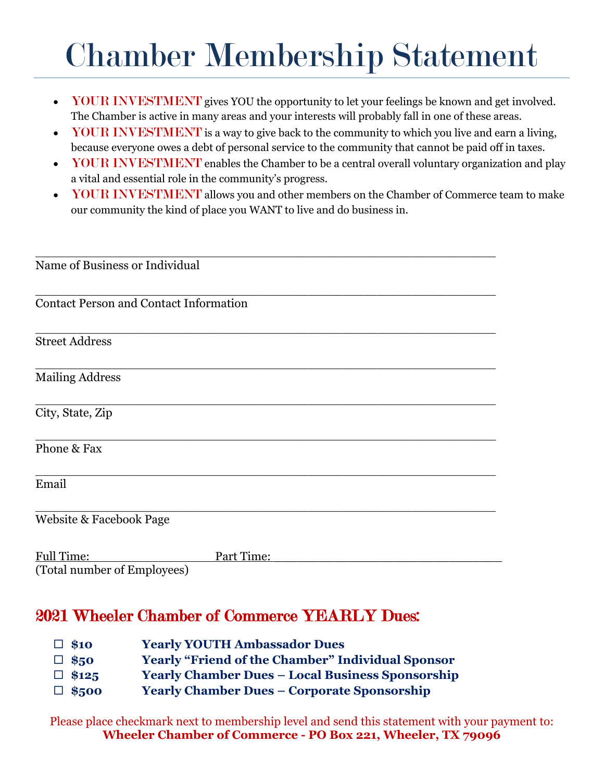# Chamber Membership Statement

- YOUR INVESTMENT gives YOU the opportunity to let your feelings be known and get involved. The Chamber is active in many areas and your interests will probably fall in one of these areas.
- YOUR INVESTMENT is a way to give back to the community to which you live and earn a living, because everyone owes a debt of personal service to the community that cannot be paid off in taxes.
- YOUR INVESTMENT enables the Chamber to be a central overall voluntary organization and play a vital and essential role in the community's progress.
- YOUR INVESTMENT allows you and other members on the Chamber of Commerce team to make our community the kind of place you WANT to live and do business in.

| Name of Business or Individual                   |            |
|--------------------------------------------------|------------|
|                                                  |            |
| <b>Contact Person and Contact Information</b>    |            |
| <b>Street Address</b>                            |            |
| <b>Mailing Address</b>                           |            |
| City, State, Zip                                 |            |
| Phone & Fax                                      |            |
| Email                                            |            |
| Website & Facebook Page                          |            |
| <b>Full Time:</b><br>(Total number of Employees) | Part Time: |
|                                                  |            |

#### 2021 Wheeler Chamber of Commerce YEARLY Dues:

- ¨ **\$10 Yearly YOUTH Ambassador Dues**  ¨ **\$50 Yearly "Friend of the Chamber" Individual Sponsor** ¨ **\$125 Yearly Chamber Dues – Local Business Sponsorship** ¨ **\$500 Yearly Chamber Dues – Corporate Sponsorship**
- 

Please place checkmark next to membership level and send this statement with your payment to: **Wheeler Chamber of Commerce - PO Box 221, Wheeler, TX 79096**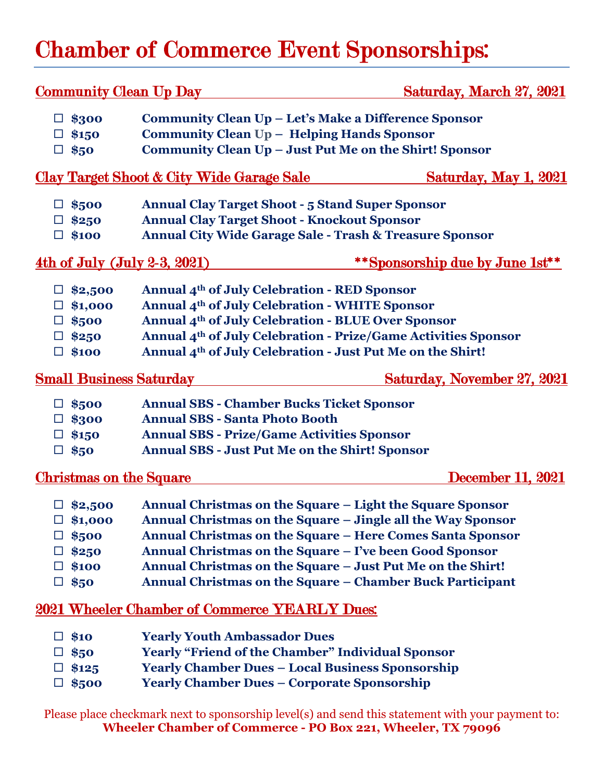# Chamber of Commerce Event Sponsorships:

| <b>Community Clean Up Day</b>                                                                      |                                                                                                                                                                                                                                                                                                                                                                             | Saturday, March 27, 2021           |
|----------------------------------------------------------------------------------------------------|-----------------------------------------------------------------------------------------------------------------------------------------------------------------------------------------------------------------------------------------------------------------------------------------------------------------------------------------------------------------------------|------------------------------------|
| $\Box$ \$300<br>$\Box$ \$150<br>$\Box$ \$50                                                        | Community Clean Up - Let's Make a Difference Sponsor<br>Community Clean Up - Helping Hands Sponsor<br>Community Clean Up - Just Put Me on the Shirt! Sponsor                                                                                                                                                                                                                |                                    |
| Clay Target Shoot & City Wide Garage Sale<br><u>Saturday, May 1, 2021</u>                          |                                                                                                                                                                                                                                                                                                                                                                             |                                    |
| $\Box$ \$500<br>$\Box$ \$250<br>$\Box$ \$100                                                       | <b>Annual Clay Target Shoot - 5 Stand Super Sponsor</b><br><b>Annual Clay Target Shoot - Knockout Sponsor</b><br><b>Annual City Wide Garage Sale - Trash &amp; Treasure Sponsor</b>                                                                                                                                                                                         |                                    |
| <u>4th of July (July 2-3, 2021)</u>                                                                |                                                                                                                                                                                                                                                                                                                                                                             | **Sponsorship due by June 1st**    |
| $\Box$ \$2,500<br>$\Box$ \$1,000<br>$\Box$ \$500<br>$\Box$ \$250<br>$\Box$ \$100                   | Annual 4 <sup>th</sup> of July Celebration - RED Sponsor<br>Annual 4 <sup>th</sup> of July Celebration - WHITE Sponsor<br>Annual 4th of July Celebration - BLUE Over Sponsor<br>Annual 4th of July Celebration - Prize/Game Activities Sponsor<br>Annual 4 <sup>th</sup> of July Celebration - Just Put Me on the Shirt!                                                    |                                    |
| <b>Small Business Saturday</b>                                                                     |                                                                                                                                                                                                                                                                                                                                                                             | <b>Saturday, November 27, 2021</b> |
| $\Box$ \$500<br>$\Box$ \$300<br>$\Box$ \$150<br>$\Box$ \$50                                        | <b>Annual SBS - Chamber Bucks Ticket Sponsor</b><br><b>Annual SBS - Santa Photo Booth</b><br><b>Annual SBS - Prize/Game Activities Sponsor</b><br><b>Annual SBS - Just Put Me on the Shirt! Sponsor</b>                                                                                                                                                                     |                                    |
| <b>Christmas on the Square</b>                                                                     |                                                                                                                                                                                                                                                                                                                                                                             | December 11, 2021                  |
| $\Box$ \$2,500<br>$\Box$ \$1,000<br>$\Box$ \$500<br>\$250<br>$\Box$<br>$\Box$ \$100<br>$\Box$ \$50 | Annual Christmas on the Square – Light the Square Sponsor<br>Annual Christmas on the Square - Jingle all the Way Sponsor<br>Annual Christmas on the Square - Here Comes Santa Sponsor<br>Annual Christmas on the Square - I've been Good Sponsor<br>Annual Christmas on the Square – Just Put Me on the Shirt!<br>Annual Christmas on the Square - Chamber Buck Participant |                                    |
| 2021 Wheeler Chamber of Commerce YEARLY Dues:                                                      |                                                                                                                                                                                                                                                                                                                                                                             |                                    |
| $\Box$ \$10<br>$\Box$ \$50<br>\$125<br>\$500<br>$\Box$                                             | <b>Yearly Youth Ambassador Dues</b><br><b>Yearly "Friend of the Chamber" Individual Sponsor</b><br><b>Yearly Chamber Dues - Local Business Sponsorship</b><br><b>Yearly Chamber Dues - Corporate Sponsorship</b>                                                                                                                                                            |                                    |

Please place checkmark next to sponsorship level(s) and send this statement with your payment to: **Wheeler Chamber of Commerce - PO Box 221, Wheeler, TX 79096**